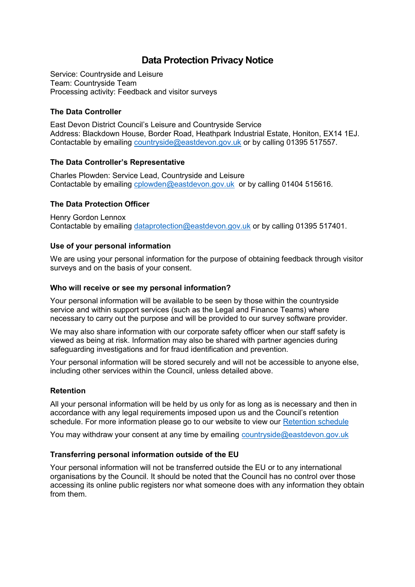# **Data Protection Privacy Notice**

Service: Countryside and Leisure Team: Countryside Team Processing activity: Feedback and visitor surveys

## **The Data Controller**

East Devon District Council's Leisure and Countryside Service Address: Blackdown House, Border Road, Heathpark Industrial Estate, Honiton, EX14 1EJ. Contactable by emailing [countryside@eastdevon.gov.uk](mailto:countryside@eastdevon.gov.uk) or by calling 01395 517557.

## **The Data Controller's Representative**

Charles Plowden: Service Lead, Countryside and Leisure Contactable by emailing [cplowden@eastdevon.gov.uk](mailto:cplowden@eastdevon.gov.uk) or by calling 01404 515616.

## **The Data Protection Officer**

Henry Gordon Lennox Contactable by emailing [dataprotection@eastdevon.gov.uk](mailto:dataprotection@eastdevon.gov.uk) or by calling 01395 517401.

## **Use of your personal information**

We are using your personal information for the purpose of obtaining feedback through visitor surveys and on the basis of your consent.

#### **Who will receive or see my personal information?**

Your personal information will be available to be seen by those within the countryside service and within support services (such as the Legal and Finance Teams) where necessary to carry out the purpose and will be provided to our survey software provider.

We may also share information with our corporate safety officer when our staff safety is viewed as being at risk. Information may also be shared with partner agencies during safeguarding investigations and for fraud identification and prevention.

Your personal information will be stored securely and will not be accessible to anyone else, including other services within the Council, unless detailed above.

#### **Retention**

All your personal information will be held by us only for as long as is necessary and then in accordance with any legal requirements imposed upon us and the Council's retention schedule. For more information please go to our website to view our [Retention schedule](http://eastdevon.gov.uk/access-to-information/data-protection/document-retention-schedules/)

You may withdraw your consent at any time by emailing [countryside@eastdevon.gov.uk](mailto:countryside@eastdevon.gov.uk)

#### **Transferring personal information outside of the EU**

Your personal information will not be transferred outside the EU or to any international organisations by the Council. It should be noted that the Council has no control over those accessing its online public registers nor what someone does with any information they obtain from them.